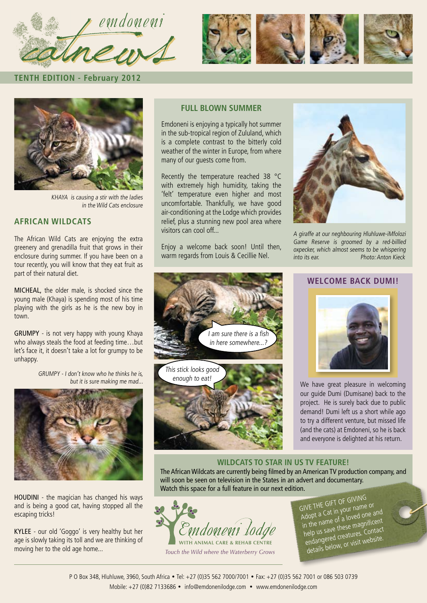



**TENTH EDITION - February 2012**



KHAYA is causing a stir with the ladies in the Wild Cats enclosure

### **AFRICAN WILDCATS**

The African Wild Cats are enjoying the extra greenery and grenadilla fruit that grows in their enclosure during summer. If you have been on a tour recently, you will know that they eat fruit as part of their natural diet.

MICHEAL, the older male, is shocked since the young male (Khaya) is spending most of his time playing with the girls as he is the new boy in town.

GRUMPY - is not very happy with young Khaya who always steals the food at feeding time…but let's face it, it doesn't take a lot for grumpy to be unhappy.

> GRUMPY - I don't know who he thinks he is, but it is sure making me mad...



HOUDINI - the magician has changed his ways and is being a good cat, having stopped all the escaping tricks!

KYLEE - our old 'Goggo' is very healthy but her age is slowly taking its toll and we are thinking of moving her to the old age home...

### **FULL BLOWN SUMMER**

Emdoneni is enjoying a typically hot summer in the sub-tropical region of Zululand, which is a complete contrast to the bitterly cold weather of the winter in Europe, from where many of our guests come from.

Recently the temperature reached 38 °C with extremely high humidity, taking the 'felt' temperature even higher and most uncomfortable. Thankfully, we have good air-conditioning at the Lodge which provides relief, plus a stunning new pool area where visitors can cool off...

Enjoy a welcome back soon! Until then, warm regards from Louis & Cecillie Nel.

This stick looks good enough to eat!

I am sure there is a fish in here somewhere  $\bar{i}$ 



A giraffe at our neghbouring Hluhluwe-iMfolozi Game Reserve is groomed by a red-billled oxpecker, which almost seems to be whispering into its ear. Photo: Anton Kieck

### **WELCOME BACK DUMI!**



We have great pleasure in welcoming our guide Dumi (Dumisane) back to the project. He is surely back due to public demand! Dumi left us a short while ago to try a different venture, but missed life (and the cats) at Emdoneni, so he is back and everyone is delighted at his return.

### **WILDCATS TO STAR IN US TV FEATURE!**

The African Wildcats are currently being filmed by an American TV production company, and will soon be seen on television in the States in an advert and documentary. Watch this space for a full feature in our next edition.



*Touch the Wild where the Waterberry Grows*

GIVE THE GIFT OF GIVING Adopt a Cat in your name or in the name of a loved one and help us save these magnificent endangered creatures. Contact details below, or visit website.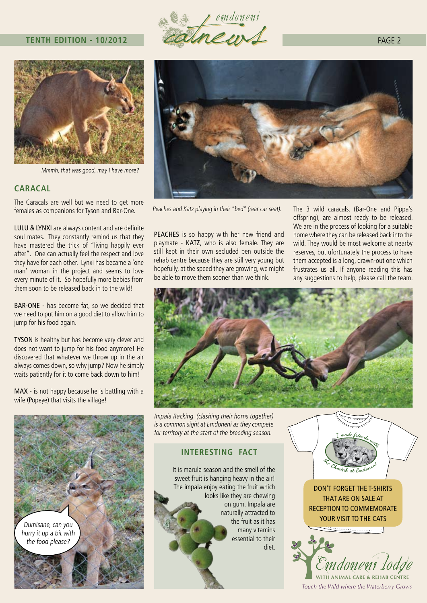### **TENTH EDITION - 10/2012**



Mmmh, that was good, may I have more?

### **CARACAL**

The Caracals are well but we need to get more females as companions for Tyson and Bar-One.

LULU & LYNXI are always content and are definite soul mates. They constantly remind us that they have mastered the trick of "living happily ever after". One can actually feel the respect and love they have for each other. Lynxi has became a 'one man' woman in the project and seems to love every minute of it. So hopefully more babies from them soon to be released back in to the wild!

BAR-ONE - has become fat, so we decided that we need to put him on a good diet to allow him to jump for his food again.

TYSON is healthy but has become very clever and does not want to jump for his food anymore! He discovered that whatever we throw up in the air always comes down, so why jump? Now he simply waits patiently for it to come back down to him!

MAX - is not happy because he is battling with a wife (Popeye) that visits the village!







Peaches and Katz playing in their "bed" (rear car seat). The 3 wild caracals, (Bar-One and Pippa's

PEACHES is so happy with her new friend and playmate - KATZ, who is also female. They are still kept in their own secluded pen outside the rehab centre because they are still very young but hopefully, at the speed they are growing, we might be able to move them sooner than we think.

offspring), are almost ready to be released. We are in the process of looking for a suitable home where they can be released back into the wild. They would be most welcome at nearby reserves, but ufortunately the process to have them accepted is a long, drawn-out one which frustrates us all. If anyone reading this has any suggestions to help, please call the team.



Impala Racking (clashing their horns together) is a common sight at Emdoneni as they compete for territory at the start of the breeding season.

### **INTERESTING FACT**

It is marula season and the smell of the sweet fruit is hanging heavy in the air! The impala enjoy eating the fruit which looks like they are chewing on gum. Impala are naturally attracted to the fruit as it has many vitamins essential to their diet.



DON'T FORGET THE T-SHIRTS THAT ARE ON SALE AT RECEPTION TO COMMEMORATE YOUR VISIT TO THE CATS

المستنبين ويعج

Emdoneni lodg

*Touch the Wild where the Waterberry Grows*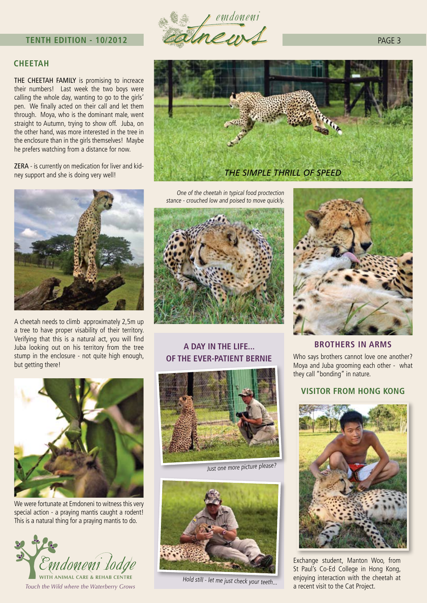### **TENTH EDITION - 10/2012**



### **CHEETAH**

THE CHEETAH FAMILY is promising to increace their numbers! Last week the two boys were calling the whole day, wanting to go to the girls' pen. We finally acted on their call and let them through. Moya, who is the dominant male, went straight to Autumn, trying to show off. Juba, on the other hand, was more interested in the tree in the enclosure than in the girls themselves! Maybe he prefers watching from a distance for now.

ZERA - is currently on medication for liver and kidney support and she is doing very well!



A cheetah needs to climb approximately 2,5m up a tree to have proper visability of their territory. Verifying that this is a natural act, you will find Juba looking out on his territory from the tree stump in the enclosure - not quite high enough, but getting there!



We were fortunate at Emdoneni to witness this very special action - a praying mantis caught a rodent! This is a natural thing for a praying mantis to do.





One of the cheetah in typical food proctection stance - crouched low and poised to move quickly.



# **A DAY IN THE LIFE...**

## **OF THE EVER-PATIENT BERNIE**



Just one more picture please?



Hold still - let me just check your teeth...



### **BROTHERS IN ARMS**

Who says brothers cannot love one another? Moya and Juba grooming each other - what they call "bonding" in nature.

### **VISITOR FROM HONG KONG**



Exchange student, Manton Woo, from St Paul's Co-Ed College in Hong Kong, enjoying interaction with the cheetah at a recent visit to the Cat Project.